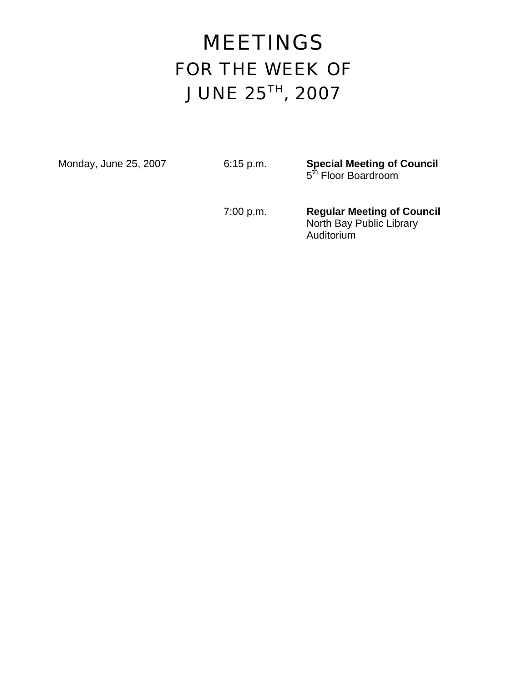# MEETINGS FOR THE WEEK OF JUNE 25TH, 2007

Monday, June 25, 2007 **6:15 p.m. Special Meeting of Council 5th Floor Boardroom** 

> 7:00 p.m. **Regular Meeting of Council**  North Bay Public Library Auditorium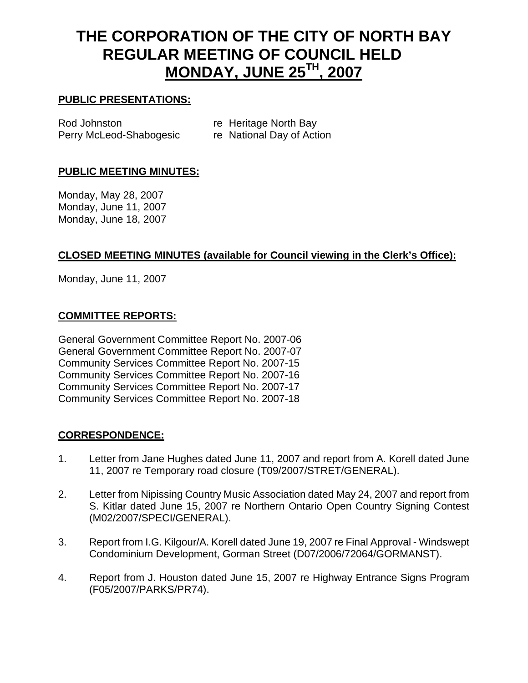# **THE CORPORATION OF THE CITY OF NORTH BAY REGULAR MEETING OF COUNCIL HELD MONDAY, JUNE 25TH, 2007**

#### **PUBLIC PRESENTATIONS:**

| Rod Johnston            | re Heritage North Bay     |
|-------------------------|---------------------------|
| Perry McLeod-Shabogesic | re National Day of Action |

### **PUBLIC MEETING MINUTES:**

Monday, May 28, 2007 Monday, June 11, 2007 Monday, June 18, 2007

# **CLOSED MEETING MINUTES (available for Council viewing in the Clerk's Office):**

Monday, June 11, 2007

#### **COMMITTEE REPORTS:**

General Government Committee Report No. 2007-06 General Government Committee Report No. 2007-07 Community Services Committee Report No. 2007-15 Community Services Committee Report No. 2007-16 Community Services Committee Report No. 2007-17 Community Services Committee Report No. 2007-18

#### **CORRESPONDENCE:**

- 1. Letter from Jane Hughes dated June 11, 2007 and report from A. Korell dated June 11, 2007 re Temporary road closure (T09/2007/STRET/GENERAL).
- 2. Letter from Nipissing Country Music Association dated May 24, 2007 and report from S. Kitlar dated June 15, 2007 re Northern Ontario Open Country Signing Contest (M02/2007/SPECI/GENERAL).
- 3. Report from I.G. Kilgour/A. Korell dated June 19, 2007 re Final Approval Windswept Condominium Development, Gorman Street (D07/2006/72064/GORMANST).
- 4. Report from J. Houston dated June 15, 2007 re Highway Entrance Signs Program (F05/2007/PARKS/PR74).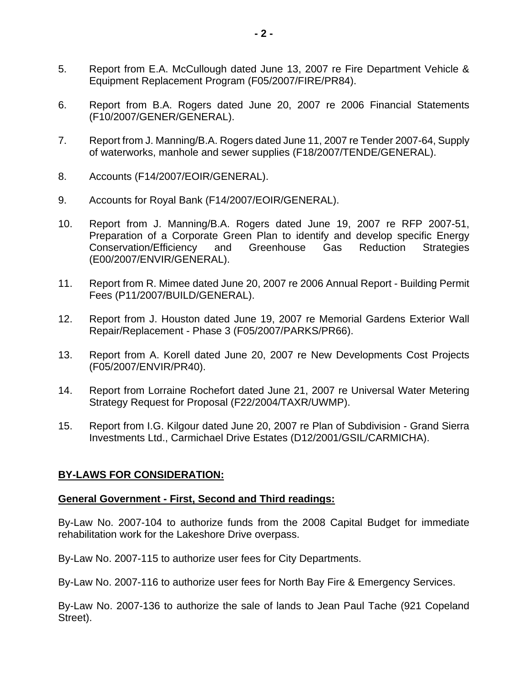- 5. Report from E.A. McCullough dated June 13, 2007 re Fire Department Vehicle & Equipment Replacement Program (F05/2007/FIRE/PR84).
- 6. Report from B.A. Rogers dated June 20, 2007 re 2006 Financial Statements (F10/2007/GENER/GENERAL).
- 7. Report from J. Manning/B.A. Rogers dated June 11, 2007 re Tender 2007-64, Supply of waterworks, manhole and sewer supplies (F18/2007/TENDE/GENERAL).
- 8. Accounts (F14/2007/EOIR/GENERAL).
- 9. Accounts for Royal Bank (F14/2007/EOIR/GENERAL).
- 10. Report from J. Manning/B.A. Rogers dated June 19, 2007 re RFP 2007-51, Preparation of a Corporate Green Plan to identify and develop specific Energy<br>Conservation/Efficiency and Greenhouse Gas Reduction Strategies Conservation/Efficiency and Greenhouse Gas Reduction Strategies (E00/2007/ENVIR/GENERAL).
- 11. Report from R. Mimee dated June 20, 2007 re 2006 Annual Report Building Permit Fees (P11/2007/BUILD/GENERAL).
- 12. Report from J. Houston dated June 19, 2007 re Memorial Gardens Exterior Wall Repair/Replacement - Phase 3 (F05/2007/PARKS/PR66).
- 13. Report from A. Korell dated June 20, 2007 re New Developments Cost Projects (F05/2007/ENVIR/PR40).
- 14. Report from Lorraine Rochefort dated June 21, 2007 re Universal Water Metering Strategy Request for Proposal (F22/2004/TAXR/UWMP).
- 15. Report from I.G. Kilgour dated June 20, 2007 re Plan of Subdivision Grand Sierra Investments Ltd., Carmichael Drive Estates (D12/2001/GSIL/CARMICHA).

# **BY-LAWS FOR CONSIDERATION:**

#### **General Government - First, Second and Third readings:**

By-Law No. 2007-104 to authorize funds from the 2008 Capital Budget for immediate rehabilitation work for the Lakeshore Drive overpass.

By-Law No. 2007-115 to authorize user fees for City Departments.

By-Law No. 2007-116 to authorize user fees for North Bay Fire & Emergency Services.

By-Law No. 2007-136 to authorize the sale of lands to Jean Paul Tache (921 Copeland Street).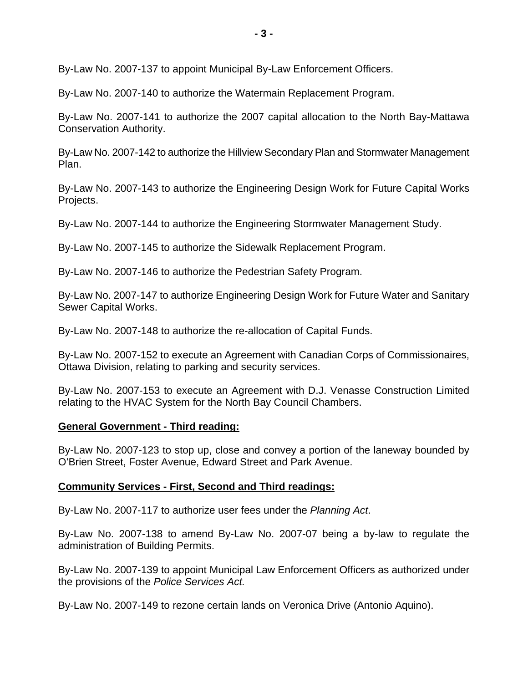By-Law No. 2007-137 to appoint Municipal By-Law Enforcement Officers.

By-Law No. 2007-140 to authorize the Watermain Replacement Program.

By-Law No. 2007-141 to authorize the 2007 capital allocation to the North Bay-Mattawa Conservation Authority.

By-Law No. 2007-142 to authorize the Hillview Secondary Plan and Stormwater Management Plan.

By-Law No. 2007-143 to authorize the Engineering Design Work for Future Capital Works Projects.

By-Law No. 2007-144 to authorize the Engineering Stormwater Management Study.

By-Law No. 2007-145 to authorize the Sidewalk Replacement Program.

By-Law No. 2007-146 to authorize the Pedestrian Safety Program.

By-Law No. 2007-147 to authorize Engineering Design Work for Future Water and Sanitary Sewer Capital Works.

By-Law No. 2007-148 to authorize the re-allocation of Capital Funds.

By-Law No. 2007-152 to execute an Agreement with Canadian Corps of Commissionaires, Ottawa Division, relating to parking and security services.

By-Law No. 2007-153 to execute an Agreement with D.J. Venasse Construction Limited relating to the HVAC System for the North Bay Council Chambers.

#### **General Government - Third reading:**

By-Law No. 2007-123 to stop up, close and convey a portion of the laneway bounded by O'Brien Street, Foster Avenue, Edward Street and Park Avenue.

#### **Community Services - First, Second and Third readings:**

By-Law No. 2007-117 to authorize user fees under the *Planning Act*.

By-Law No. 2007-138 to amend By-Law No. 2007-07 being a by-law to regulate the administration of Building Permits.

By-Law No. 2007-139 to appoint Municipal Law Enforcement Officers as authorized under the provisions of the *Police Services Act.*

By-Law No. 2007-149 to rezone certain lands on Veronica Drive (Antonio Aquino).